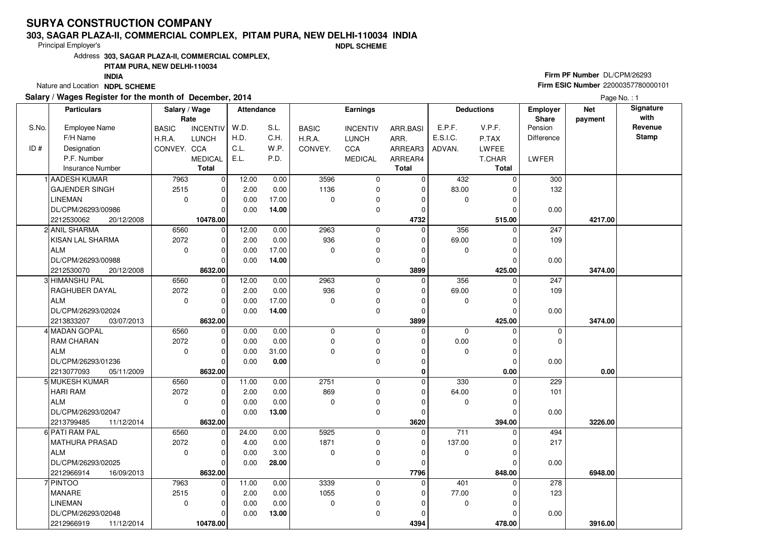# **SURYA CONSTRUCTION COMPANY**

#### **303, SAGAR PLAZA-II, COMMERCIAL COMPLEX, PITAM PURA, NEW DELHI-110034 INDIA**

Principal Employer's

**NDPL SCHEME**

Address**303, SAGAR PLAZA-II, COMMERCIAL COMPLEX,**

### **PITAM PURA, NEW DELHI-110034**

**INDIA**

Nature and Location **NDPL SCHEME** 

## **Salary / Wages Register for the month of December, 2014**

## **Firm PF Number** DL/CPM/26293 **Firm ESIC Number** 22000357780000101

Page No. : 1

|       | <b>Particulars</b>       | Salary / Wage<br>Rate |                 | Attendance |       |              | <b>Earnings</b> |              |                  | <b>Deductions</b> | Employer<br>Share | <b>Net</b><br>payment | Signature<br>with |
|-------|--------------------------|-----------------------|-----------------|------------|-------|--------------|-----------------|--------------|------------------|-------------------|-------------------|-----------------------|-------------------|
| S.No. | Employee Name            | <b>BASIC</b>          | <b>INCENTIV</b> | W.D.       | S.L.  | <b>BASIC</b> | <b>INCENTIV</b> | ARR.BASI     | E.P.F.           | V.P.F.            | Pension           |                       | Revenue           |
|       | F/H Name                 | H.R.A.                | <b>LUNCH</b>    | H.D.       | C.H.  | H.R.A.       | <b>LUNCH</b>    | ARR.         | E.S.I.C.         | P.TAX             | Difference        |                       | <b>Stamp</b>      |
| ID#   | Designation              | CONVEY. CCA           |                 | C.L.       | W.P.  | CONVEY.      | CCA             | ARREAR3      | ADVAN.           | <b>LWFEE</b>      |                   |                       |                   |
|       | P.F. Number              |                       | <b>MEDICAL</b>  | E.L.       | P.D.  |              | <b>MEDICAL</b>  | ARREAR4      |                  | T.CHAR            | LWFER             |                       |                   |
|       | <b>Insurance Number</b>  |                       | Total           |            |       |              |                 | <b>Total</b> |                  | Total             |                   |                       |                   |
|       | 1 AADESH KUMAR           | 7963                  | 0               | 12.00      | 0.00  | 3596         | 0               | 0            | 432              | $\Omega$          | 300               |                       |                   |
|       | <b>GAJENDER SINGH</b>    | 2515                  | $\pmb{0}$       | 2.00       | 0.00  | 1136         | 0               | $\mathbf 0$  | 83.00            | C                 | 132               |                       |                   |
|       | <b>LINEMAN</b>           | $\mathbf 0$           | $\mathbf 0$     | 0.00       | 17.00 | $\Omega$     | 0               | $\Omega$     | $\mathbf 0$      | $\Omega$          |                   |                       |                   |
|       | DL/CPM/26293/00986       |                       | $\Omega$        | 0.00       | 14.00 |              | 0               | $\Omega$     |                  | ſ                 | 0.00              |                       |                   |
|       | 2212530062<br>20/12/2008 |                       | 10478.00        |            |       |              |                 | 4732         |                  | 515.00            |                   | 4217.00               |                   |
|       | 2 ANIL SHARMA            | 6560                  | $\overline{0}$  | 12.00      | 0.00  | 2963         | $\mathbf 0$     | $\mathbf 0$  | 356              | $\Omega$          | 247               |                       |                   |
|       | KISAN LAL SHARMA         | 2072                  | $\pmb{0}$       | 2.00       | 0.00  | 936          | 0               | $\Omega$     | 69.00            | 0                 | 109               |                       |                   |
|       | <b>ALM</b>               | $\Omega$              | $\mathbf 0$     | 0.00       | 17.00 | $\Omega$     | 0               | $\Omega$     | $\mathbf 0$      | 0                 |                   |                       |                   |
|       | DL/CPM/26293/00988       |                       | $\mathbf 0$     | 0.00       | 14.00 |              | 0               | $\mathbf 0$  |                  | $\Omega$          | 0.00              |                       |                   |
|       | 2212530070<br>20/12/2008 |                       | 8632.00         |            |       |              |                 | 3899         |                  | 425.00            |                   | 3474.00               |                   |
|       | 3 HIMANSHU PAL           | 6560                  | 0               | 12.00      | 0.00  | 2963         | $\mathbf 0$     | 0            | 356              | $\Omega$          | 247               |                       |                   |
|       | <b>RAGHUBER DAYAL</b>    | 2072                  | $\mathbf 0$     | 2.00       | 0.00  | 936          | 0               | $\Omega$     | 69.00            | C                 | 109               |                       |                   |
|       | ALM                      | $\mathbf 0$           | $\mathbf 0$     | 0.00       | 17.00 | $\mathbf 0$  | 0               | $\mathbf 0$  | $\mathbf 0$      | $\Omega$          |                   |                       |                   |
|       | DL/CPM/26293/02024       |                       | $\mathbf 0$     | 0.00       | 14.00 |              | 0               | $\mathbf 0$  |                  | $\mathcal{C}$     | 0.00              |                       |                   |
|       | 2213833207<br>03/07/2013 |                       | 8632.00         |            |       |              |                 | 3899         |                  | 425.00            |                   | 3474.00               |                   |
|       | 4 MADAN GOPAL            | 6560                  | $\mathbf 0$     | 0.00       | 0.00  | $\Omega$     | $\mathbf 0$     | $\Omega$     | $\Omega$         | $\Omega$          | $\mathbf 0$       |                       |                   |
|       | <b>RAM CHARAN</b>        | 2072                  | $\mathbf 0$     | 0.00       | 0.00  | $\mathbf 0$  | 0               | $\Omega$     | 0.00             | $\Omega$          | $\mathbf 0$       |                       |                   |
|       | <b>ALM</b>               | $\Omega$              | $\mathbf 0$     | 0.00       | 31.00 | $\Omega$     | 0               | $\Omega$     | $\mathbf 0$      | $\Omega$          |                   |                       |                   |
|       | DL/CPM/26293/01236       |                       | $\mathbf 0$     | 0.00       | 0.00  |              | $\mathbf 0$     | $\mathbf 0$  |                  | $\Omega$          | 0.00              |                       |                   |
|       | 2213077093<br>05/11/2009 |                       | 8632.00         |            |       |              |                 | 0            |                  | 0.00              |                   | 0.00                  |                   |
|       | 5 MUKESH KUMAR           | 6560                  | $\mathbf 0$     | 11.00      | 0.00  | 2751         | $\mathbf 0$     | $\mathbf 0$  | 330              | $\Omega$          | 229               |                       |                   |
|       | <b>HARI RAM</b>          | 2072                  | $\mathbf 0$     | 2.00       | 0.00  | 869          | 0               | $\mathbf 0$  | 64.00            | $\Omega$          | 101               |                       |                   |
|       | <b>ALM</b>               | $\Omega$              | $\mathbf 0$     | 0.00       | 0.00  | $\Omega$     | 0               | $\Omega$     | $\mathbf 0$      | $\Omega$          |                   |                       |                   |
|       | DL/CPM/26293/02047       |                       | $\mathbf 0$     | 0.00       | 13.00 |              | 0               | $\mathbf 0$  |                  | $\mathcal{C}$     | 0.00              |                       |                   |
|       | 2213799485<br>11/12/2014 |                       | 8632.00         |            |       |              |                 | 3620         |                  | 394.00            |                   | 3226.00               |                   |
|       | 6 PATI RAM PAL           | 6560                  | $\mathbf 0$     | 24.00      | 0.00  | 5925         | $\mathbf 0$     | $\Omega$     | $\overline{711}$ |                   | 494               |                       |                   |
|       | <b>MATHURA PRASAD</b>    | 2072                  | $\mathbf 0$     | 4.00       | 0.00  | 1871         | 0               | $\mathbf 0$  | 137.00           | $\Omega$          | 217               |                       |                   |
|       | <b>ALM</b>               | $\Omega$              | $\mathbf 0$     | 0.00       | 3.00  | 0            | 0               | $\Omega$     | 0                | $\mathcal{C}$     |                   |                       |                   |
|       | DL/CPM/26293/02025       |                       | $\mathbf 0$     | 0.00       | 28.00 |              | 0               | $\Omega$     |                  | $\Omega$          | 0.00              |                       |                   |
|       | 2212966914<br>16/09/2013 |                       | 8632.00         |            |       |              |                 | 7796         |                  | 848.00            |                   | 6948.00               |                   |
|       | 7 PINTOO                 | 7963                  | $\mathbf 0$     | 11.00      | 0.00  | 3339         | $\mathbf 0$     | $\mathbf 0$  | 401              |                   | 278               |                       |                   |
|       | MANARE                   | 2515                  | $\mathbf 0$     | 2.00       | 0.00  | 1055         | 0               | $\Omega$     | 77.00            |                   | 123               |                       |                   |
|       | <b>LINEMAN</b>           | $\mathbf 0$           | $\mathbf 0$     | 0.00       | 0.00  | 0            | 0               | 0            | $\mathbf 0$      | $\Omega$          |                   |                       |                   |
|       | DL/CPM/26293/02048       |                       | $\mathbf 0$     | 0.00       | 13.00 |              | 0               | $\Omega$     |                  | 0                 | 0.00              |                       |                   |
|       | 2212966919<br>11/12/2014 |                       | 10478.00        |            |       |              |                 | 4394         |                  | 478.00            |                   | 3916.00               |                   |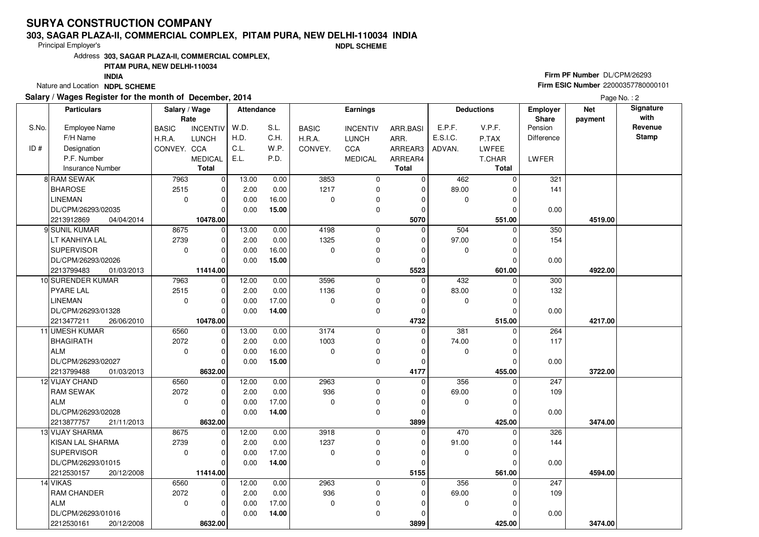# **SURYA CONSTRUCTION COMPANY**

#### **303, SAGAR PLAZA-II, COMMERCIAL COMPLEX, PITAM PURA, NEW DELHI-110034 INDIA**

Principal Employer's

**NDPL SCHEME**

Address**303, SAGAR PLAZA-II, COMMERCIAL COMPLEX,**

## **PITAM PURA, NEW DELHI-110034**

**INDIA**

Nature and Location **NDPL SCHEME** 

### **Salary / Wages Register for the month of December, 2014**

## **Firm PF Number** DL/CPM/26293 **Firm ESIC Number** 22000357780000101

Page No.: 2

|       | <b>Particulars</b>       | Salary / Wage<br>Rate |                 | <b>Attendance</b> |       |              | <b>Earnings</b> |              |          | <b>Deductions</b> | Employer<br>Share | <b>Net</b><br>payment | Signature<br>with |
|-------|--------------------------|-----------------------|-----------------|-------------------|-------|--------------|-----------------|--------------|----------|-------------------|-------------------|-----------------------|-------------------|
| S.No. | <b>Employee Name</b>     | <b>BASIC</b>          | <b>INCENTIV</b> | W.D.              | S.L.  | <b>BASIC</b> | <b>INCENTIV</b> | ARR.BASI     | E.P.F.   | V.P.F.            | Pension           |                       | Revenue           |
|       | F/H Name                 | H.R.A.                | <b>LUNCH</b>    | H.D.              | C.H.  | H.R.A.       | <b>LUNCH</b>    | ARR.         | E.S.I.C. | P.TAX             | <b>Difference</b> |                       | <b>Stamp</b>      |
| ID#   | Designation              | CONVEY. CCA           |                 | C.L.              | W.P.  | CONVEY.      | CCA             | ARREAR3      | ADVAN.   | <b>LWFEE</b>      |                   |                       |                   |
|       | P.F. Number              |                       | <b>MEDICAL</b>  | E.L.              | P.D.  |              | <b>MEDICAL</b>  | ARREAR4      |          | T.CHAR            | LWFER             |                       |                   |
|       | <b>Insurance Number</b>  |                       | <b>Total</b>    |                   |       |              |                 | <b>Total</b> |          | <b>Total</b>      |                   |                       |                   |
|       | 8 RAM SEWAK              | 7963                  | $\mathbf 0$     | 13.00             | 0.00  | 3853         | 0               | $\mathbf 0$  | 462      | $\Omega$          | 321               |                       |                   |
|       | <b>BHAROSE</b>           | 2515                  | $\mathbf 0$     | 2.00              | 0.00  | 1217         | $\mathbf 0$     | $\mathbf 0$  | 89.00    | $\Omega$          | 141               |                       |                   |
|       | <b>LINEMAN</b>           | $\mathbf 0$           | $\mathbf 0$     | 0.00              | 16.00 | $\Omega$     | 0               | $\Omega$     | 0        | $\Omega$          |                   |                       |                   |
|       | DL/CPM/26293/02035       |                       | $\Omega$        | 0.00              | 15.00 |              | 0               | 0            |          | O                 | 0.00              |                       |                   |
|       | 2213912869<br>04/04/2014 |                       | 10478.00        |                   |       |              |                 | 5070         |          | 551.00            |                   | 4519.00               |                   |
|       | 9 SUNIL KUMAR            | 8675                  | $\mathbf 0$     | 13.00             | 0.00  | 4198         | $\mathbf 0$     | $\Omega$     | 504      | $\Omega$          | 350               |                       |                   |
|       | LT KANHIYA LAL           | 2739                  | $\mathbf 0$     | 2.00              | 0.00  | 1325         | 0               | 0            | 97.00    | $\Omega$          | 154               |                       |                   |
|       | <b>SUPERVISOR</b>        | $\mathbf 0$           | $\mathbf 0$     | 0.00              | 16.00 | $\Omega$     | 0               | $\Omega$     | 0        | $\Omega$          |                   |                       |                   |
|       | DL/CPM/26293/02026       |                       | $\Omega$        | 0.00              | 15.00 |              | $\mathbf 0$     | $\mathbf 0$  |          | $\Omega$          | 0.00              |                       |                   |
|       | 2213799483<br>01/03/2013 |                       | 11414.00        |                   |       |              |                 | 5523         |          | 601.00            |                   | 4922.00               |                   |
|       | 10 SURENDER KUMAR        | 7963                  | $\mathbf 0$     | 12.00             | 0.00  | 3596         | 0               | $\mathbf 0$  | 432      | $\Omega$          | 300               |                       |                   |
|       | <b>PYARE LAL</b>         | 2515                  | $\mathbf 0$     | 2.00              | 0.00  | 1136         | $\mathbf 0$     | $\mathbf 0$  | 83.00    | 0                 | 132               |                       |                   |
|       | LINEMAN                  | $\mathbf 0$           | $\Omega$        | 0.00              | 17.00 | $\Omega$     | 0               | $\Omega$     | 0        | $\Omega$          |                   |                       |                   |
|       | DL/CPM/26293/01328       |                       | $\Omega$        | 0.00              | 14.00 |              | 0               | $\mathbf 0$  |          | $\Omega$          | 0.00              |                       |                   |
|       | 2213477211<br>26/06/2010 |                       | 10478.00        |                   |       |              |                 | 4732         |          | 515.00            |                   | 4217.00               |                   |
|       | 11 UMESH KUMAR           | 6560                  | $\overline{0}$  | 13.00             | 0.00  | 3174         | $\mathbf 0$     | $\Omega$     | 381      | $\Omega$          | 264               |                       |                   |
|       | BHAGIRATH                | 2072                  | $\mathbf 0$     | 2.00              | 0.00  | 1003         | $\mathbf 0$     | 0            | 74.00    |                   | 117               |                       |                   |
|       | ALM                      | $\mathbf 0$           | $\mathbf 0$     | 0.00              | 16.00 | $\Omega$     | 0               | $\Omega$     | 0        | $\Omega$          |                   |                       |                   |
|       | DL/CPM/26293/02027       |                       | $\Omega$        | 0.00              | 15.00 |              | $\mathbf 0$     | $\Omega$     |          | $\Omega$          | 0.00              |                       |                   |
|       | 2213799488<br>01/03/2013 |                       | 8632.00         |                   |       |              |                 | 4177         |          | 455.00            |                   | 3722.00               |                   |
|       | 12 VIJAY CHAND           | 6560                  | $\mathbf 0$     | 12.00             | 0.00  | 2963         | 0               | 0            | 356      | $\Omega$          | 247               |                       |                   |
|       | <b>RAM SEWAK</b>         | 2072                  | $\mathbf 0$     | 2.00              | 0.00  | 936          | $\mathbf 0$     | $\Omega$     | 69.00    | O                 | 109               |                       |                   |
|       | ALM                      | $\mathbf 0$           | $\mathbf 0$     | 0.00              | 17.00 | $\Omega$     | 0               | 0            | 0        | O                 |                   |                       |                   |
|       | DL/CPM/26293/02028       |                       | $\Omega$        | 0.00              | 14.00 |              | $\mathbf 0$     | $\mathbf 0$  |          |                   | 0.00              |                       |                   |
|       | 2213877757<br>21/11/2013 |                       | 8632.00         |                   |       |              |                 | 3899         |          | 425.00            |                   | 3474.00               |                   |
|       | <b>13 VIJAY SHARMA</b>   | 8675                  | 0               | 12.00             | 0.00  | 3918         | $\mathbf 0$     | $\Omega$     | 470      | 0                 | 326               |                       |                   |
|       | KISAN LAL SHARMA         | 2739                  | $\mathbf 0$     | 2.00              | 0.00  | 1237         | 0               | 0            | 91.00    |                   | 144               |                       |                   |
|       | <b>SUPERVISOR</b>        | $\Omega$              | $\Omega$        | 0.00              | 17.00 | $\Omega$     | $\mathbf 0$     | $\Omega$     | 0        | $\Omega$          |                   |                       |                   |
|       | DL/CPM/26293/01015       |                       | $\Omega$        | 0.00              | 14.00 |              | $\Omega$        | $\Omega$     |          |                   | 0.00              |                       |                   |
|       | 2212530157<br>20/12/2008 |                       | 11414.00        |                   |       |              |                 | 5155         |          | 561.00            |                   | 4594.00               |                   |
|       | 14 VIKAS                 | 6560                  | $\mathbf 0$     | 12.00             | 0.00  | 2963         | $\mathbf 0$     | $\mathbf 0$  | 356      | $\Omega$          | 247               |                       |                   |
|       | <b>RAM CHANDER</b>       | 2072                  | $\mathbf 0$     | 2.00              | 0.00  | 936          | 0               | $\Omega$     | 69.00    |                   | 109               |                       |                   |
|       | ALM                      | $\Omega$              | $\Omega$        | 0.00              | 17.00 | $\mathbf 0$  | 0               | $\Omega$     | 0        | $\Omega$          |                   |                       |                   |
|       | DL/CPM/26293/01016       |                       | $\Omega$        | 0.00              | 14.00 |              | $\mathbf 0$     | $\Omega$     |          |                   | 0.00              |                       |                   |
|       | 2212530161<br>20/12/2008 |                       | 8632.00         |                   |       |              |                 | 3899         |          | 425.00            |                   | 3474.00               |                   |